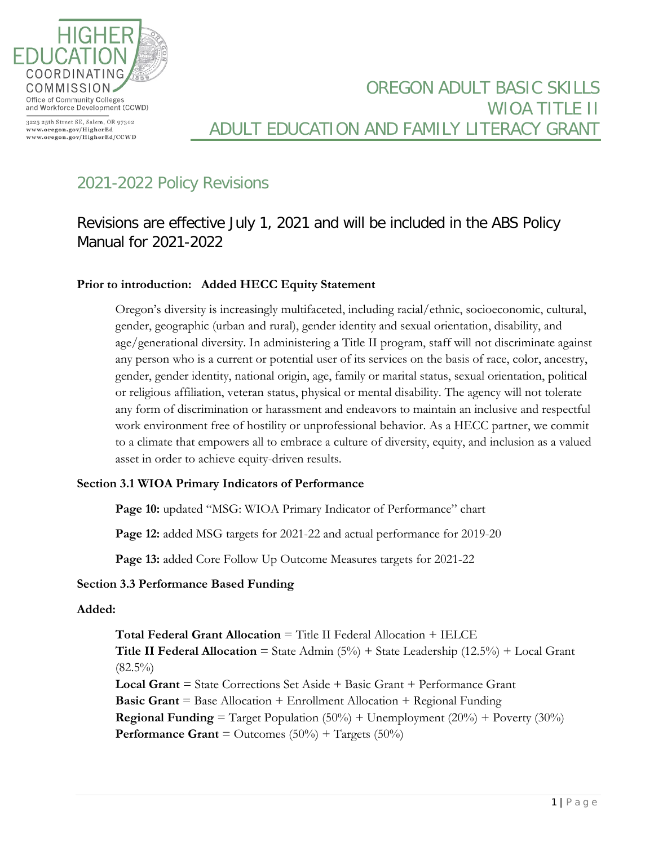

3225 25th Street SE, Salem, OR 97302 www.oregon.gov/HigherEd www.oregon.gov/HigherEd/CCWD

## OREGON ADULT BASIC SKILLS WIOA TITLE II ADULT EDUCATION AND FAMILY LITERACY GRANT

# 2021-2022 Policy Revisions

## Revisions are effective July 1, 2021 and will be included in the ABS Policy Manual for 2021-2022

#### **Prior to introduction: Added HECC Equity Statement**

Oregon's diversity is increasingly multifaceted, including racial/ethnic, socioeconomic, cultural, gender, geographic (urban and rural), gender identity and sexual orientation, disability, and age/generational diversity. In administering a Title II program, staff will not discriminate against any person who is a current or potential user of its services on the basis of race, color, ancestry, gender, gender identity, national origin, age, family or marital status, sexual orientation, political or religious affiliation, veteran status, physical or mental disability. The agency will not tolerate any form of discrimination or harassment and endeavors to maintain an inclusive and respectful work environment free of hostility or unprofessional behavior. As a HECC partner, we commit to a climate that empowers all to embrace a culture of diversity, equity, and inclusion as a valued asset in order to achieve equity-driven results.

#### **Section 3.1 WIOA Primary Indicators of Performance**

Page 10: updated "MSG: WIOA Primary Indicator of Performance" chart

**Page 12:** added MSG targets for 2021-22 and actual performance for 2019-20

Page 13: added Core Follow Up Outcome Measures targets for 2021-22

#### **Section 3.3 Performance Based Funding**

#### **Added:**

**Total Federal Grant Allocation** = Title II Federal Allocation + IELCE **Title II Federal Allocation** = State Admin  $(5\%)$  + State Leadership  $(12.5\%)$  + Local Grant  $(82.5\%)$ **Local Grant** = State Corrections Set Aside + Basic Grant + Performance Grant **Basic Grant** = Base Allocation + Enrollment Allocation + Regional Funding **Regional Funding** = Target Population  $(50\%)$  + Unemployment  $(20\%)$  + Poverty  $(30\%)$ **Performance Grant** = Outcomes  $(50\%)$  + Targets  $(50\%)$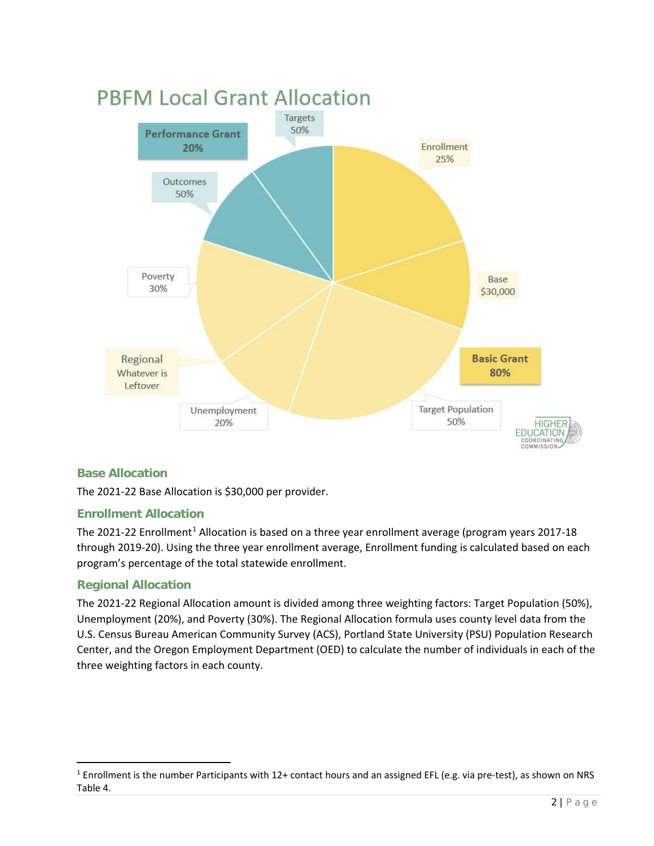

#### **Base Allocation**

The 2021-22 Base Allocation is \$30,000 per provider.

#### **Enrollment Allocation**

The 202[1](#page-1-0)-22 Enrollment<sup>1</sup> Allocation is based on a three year enrollment average (program years 2017-18 through 2019-20). Using the three year enrollment average, Enrollment funding is calculated based on each program's percentage of the total statewide enrollment.

### **Regional Allocation**

The 2021-22 Regional Allocation amount is divided among three weighting factors: Target Population (50%), Unemployment (20%), and Poverty (30%). The Regional Allocation formula uses county level data from the U.S. Census Bureau American Community Survey (ACS), Portland State University (PSU) Population Research Center, and the Oregon Employment Department (OED) to calculate the number of individuals in each of the three weighting factors in each county.

<span id="page-1-0"></span> $1$  Enrollment is the number Participants with 12+ contact hours and an assigned EFL (e.g. via pre-test), as shown on NRS Table 4.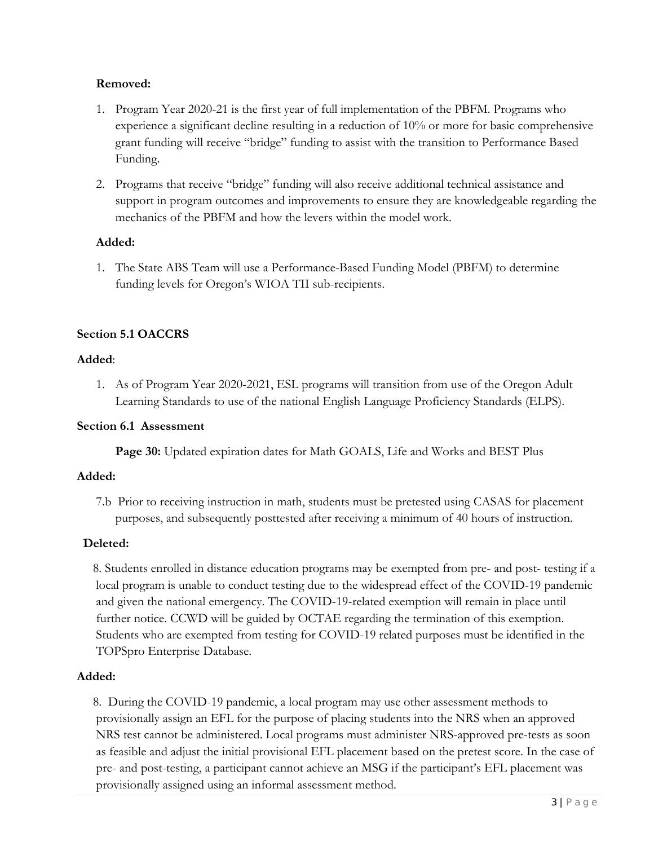#### **Removed:**

- 1. Program Year 2020-21 is the first year of full implementation of the PBFM. Programs who experience a significant decline resulting in a reduction of 10% or more for basic comprehensive grant funding will receive "bridge" funding to assist with the transition to Performance Based Funding.
- 2. Programs that receive "bridge" funding will also receive additional technical assistance and support in program outcomes and improvements to ensure they are knowledgeable regarding the mechanics of the PBFM and how the levers within the model work.

#### **Added:**

1. The State ABS Team will use a Performance-Based Funding Model (PBFM) to determine funding levels for Oregon's WIOA TII sub-recipients.

#### **Section 5.1 OACCRS**

#### **Added**:

1. As of Program Year 2020-2021, ESL programs will transition from use of the Oregon Adult Learning Standards to use of the national English Language Proficiency Standards (ELPS).

#### **Section 6.1 Assessment**

**Page 30:** Updated expiration dates for Math GOALS, Life and Works and BEST Plus

#### **Added:**

7.b Prior to receiving instruction in math, students must be pretested using CASAS for placement purposes, and subsequently posttested after receiving a minimum of 40 hours of instruction.

#### **Deleted:**

 8. Students enrolled in distance education programs may be exempted from pre- and post- testing if a local program is unable to conduct testing due to the widespread effect of the COVID-19 pandemic and given the national emergency. The COVID-19-related exemption will remain in place until further notice. CCWD will be guided by OCTAE regarding the termination of this exemption. Students who are exempted from testing for COVID-19 related purposes must be identified in the TOPSpro Enterprise Database.

#### **Added:**

 8. During the COVID-19 pandemic, a local program may use other assessment methods to provisionally assign an EFL for the purpose of placing students into the NRS when an approved NRS test cannot be administered. Local programs must administer NRS-approved pre-tests as soon as feasible and adjust the initial provisional EFL placement based on the pretest score. In the case of pre- and post-testing, a participant cannot achieve an MSG if the participant's EFL placement was provisionally assigned using an informal assessment method.